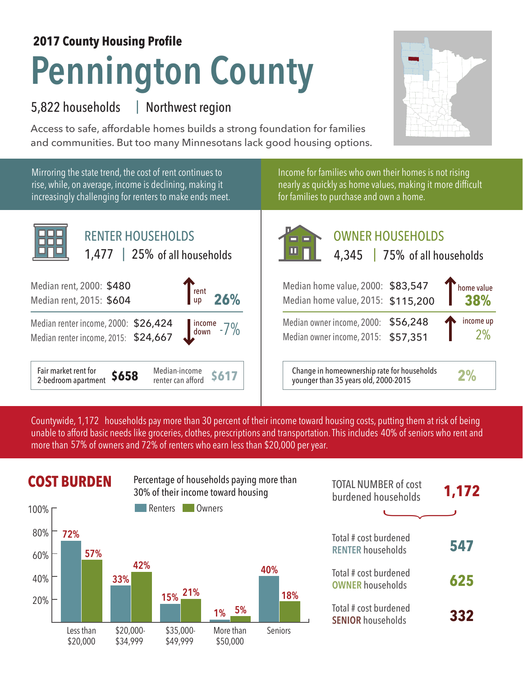## **Pennington County 2017 County Housing Profile**

## 5,822 households Northwest region |

Access to safe, affordable homes builds a strong foundation for families and communities. But too many Minnesotans lack good housing options.



Mirroring the state trend, the cost of rent continues to rise, while, on average, income is declining, making it increasingly challenging for renters to make ends meet.



Income for families who own their homes is not rising nearly as quickly as home values, making it more difficult for families to purchase and own a home.

| <b>RENTER HOUSEHOLDS</b><br>1,477   25% of all households                                   | <b>OWNER HOUSEHOLDS</b><br>$\blacksquare$<br>4,345 75% of all households                                     |
|---------------------------------------------------------------------------------------------|--------------------------------------------------------------------------------------------------------------|
| 000: \$480<br>$\begin{bmatrix} \text{rent} \\ \text{up} & 26\% \end{bmatrix}$<br>015: \$604 | Thome value<br>Median home value, 2000: \$83,547<br>$\blacksquare$ 38%<br>Median home value, 2015: \$115,200 |
| icome, 2000: \$26,424<br>$\frac{\text{income}}{\text{down}}$ -7%<br>icome, 2015: \$24,667   | income up<br>Median owner income, 2000: \$56,248<br>2%<br>Median owner income, 2015: \$57,351                |
| Madian income<br>$\mathbf{f}_{\mathbf{a},\mathbf{b}}$                                       | $Channa$ in homogy parallel rate for households $\sim$                                                       |

**S617** Change in homeownership rate for households<br>
S617 Changer than 25 years old 2000, 2015 younger than 35 years old, 2000-2015 **2%**

Countywide, 1,172 households pay more than 30 percent of their income toward housing costs, putting them at risk of being unable to afford basic needs like groceries, clothes, prescriptions and transportation. This includes 40% of seniors who rent and more than 57% of owners and 72% of renters who earn less than \$20,000 per year.



| <b>TOTAL NUMBER of cost</b><br>burdened households | 1,172 |
|----------------------------------------------------|-------|
|                                                    |       |
| Total # cost burdened<br><b>RENTER households</b>  | 547   |
| Total # cost burdened<br><b>OWNER</b> households   | 625   |
| Total # cost burdened<br><b>SENIOR households</b>  | 332   |